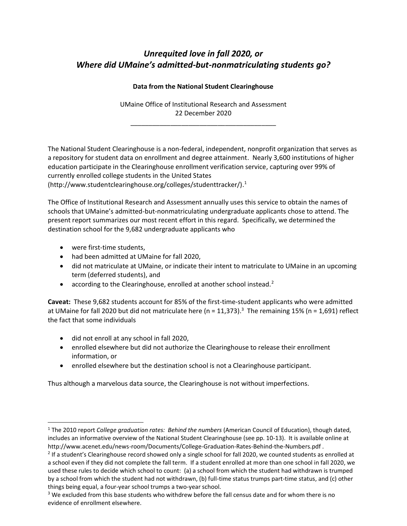# *Unrequited love in fall 2020, or Where did UMaine's admitted-but-nonmatriculating students go?*

### **Data from the National Student Clearinghouse**

UMaine Office of Institutional Research and Assessment 22 December 2020

\_\_\_\_\_\_\_\_\_\_\_\_\_\_\_\_\_\_\_\_\_\_\_\_\_\_\_\_\_\_\_\_\_\_\_\_\_\_\_\_

The National Student Clearinghouse is a non-federal, independent, nonprofit organization that serves as a repository for student data on enrollment and degree attainment. Nearly 3,600 institutions of higher education participate in the Clearinghouse enrollment verification service, capturing over 99% of currently enrolled college students in the United States (http://www.studentclearinghouse.org/colleges/studenttracker/). 1

The Office of Institutional Research and Assessment annually uses this service to obtain the names of schools that UMaine's admitted-but-nonmatriculating undergraduate applicants chose to attend. The present report summarizes our most recent effort in this regard. Specifically, we determined the destination school for the 9,682 undergraduate applicants who

were first-time students,

 $\overline{a}$ 

- had been admitted at UMaine for fall 2020,
- did not matriculate at UMaine, or indicate their intent to matriculate to UMaine in an upcoming term (deferred students), and
- according to the Clearinghouse, enrolled at another school instead.<sup>2</sup>

**Caveat:** These 9,682 students account for 85% of the first-time-student applicants who were admitted at UMaine for fall 2020 but did not matriculate here (n = 11,373).<sup>3</sup> The remaining 15% (n = 1,691) reflect the fact that some individuals

- did not enroll at any school in fall 2020,
- enrolled elsewhere but did not authorize the Clearinghouse to release their enrollment information, or
- enrolled elsewhere but the destination school is not a Clearinghouse participant.

Thus although a marvelous data source, the Clearinghouse is not without imperfections.

<sup>1</sup> The 2010 report *College graduation rates: Behind the numbers* (American Council of Education), though dated, includes an informative overview of the National Student Clearinghouse (see pp. 10-13). It is available online at http://www.acenet.edu/news-room/Documents/College-Graduation-Rates-Behind-the-Numbers.pdf .

 $2$  If a student's Clearinghouse record showed only a single school for fall 2020, we counted students as enrolled at a school even if they did not complete the fall term. If a student enrolled at more than one school in fall 2020, we used these rules to decide which school to count: (a) a school from which the student had withdrawn is trumped by a school from which the student had not withdrawn, (b) full-time status trumps part-time status, and (c) other things being equal, a four-year school trumps a two-year school.

<sup>&</sup>lt;sup>3</sup> We excluded from this base students who withdrew before the fall census date and for whom there is no evidence of enrollment elsewhere.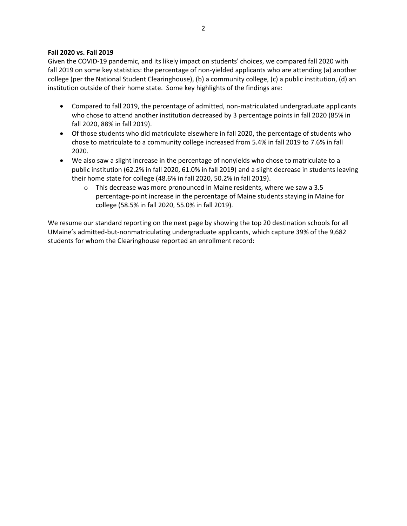#### **Fall 2020 vs. Fall 2019**

Given the COVID-19 pandemic, and its likely impact on students' choices, we compared fall 2020 with fall 2019 on some key statistics: the percentage of non-yielded applicants who are attending (a) another college (per the National Student Clearinghouse), (b) a community college, (c) a public institution, (d) an institution outside of their home state. Some key highlights of the findings are:

- Compared to fall 2019, the percentage of admitted, non-matriculated undergraduate applicants who chose to attend another institution decreased by 3 percentage points in fall 2020 (85% in fall 2020, 88% in fall 2019).
- Of those students who did matriculate elsewhere in fall 2020, the percentage of students who chose to matriculate to a community college increased from 5.4% in fall 2019 to 7.6% in fall 2020.
- We also saw a slight increase in the percentage of nonyields who chose to matriculate to a public institution (62.2% in fall 2020, 61.0% in fall 2019) and a slight decrease in students leaving their home state for college (48.6% in fall 2020, 50.2% in fall 2019).
	- $\circ$  This decrease was more pronounced in Maine residents, where we saw a 3.5 percentage-point increase in the percentage of Maine students staying in Maine for college (58.5% in fall 2020, 55.0% in fall 2019).

We resume our standard reporting on the next page by showing the top 20 destination schools for all UMaine's admitted-but-nonmatriculating undergraduate applicants, which capture 39% of the 9,682 students for whom the Clearinghouse reported an enrollment record: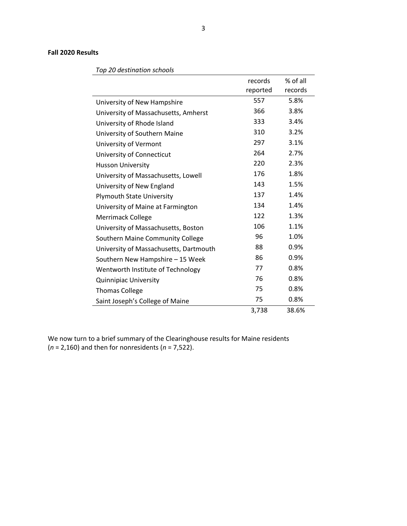#### **Fall 2020 Results**

|                                        | records  | % of all |
|----------------------------------------|----------|----------|
|                                        | reported | records  |
| University of New Hampshire            | 557      | 5.8%     |
| University of Massachusetts, Amherst   | 366      | 3.8%     |
| University of Rhode Island             | 333      | 3.4%     |
| University of Southern Maine           | 310      | 3.2%     |
| University of Vermont                  | 297      | 3.1%     |
| University of Connecticut              | 264      | 2.7%     |
| <b>Husson University</b>               | 220      | 2.3%     |
| University of Massachusetts, Lowell    | 176      | 1.8%     |
| University of New England              | 143      | 1.5%     |
| <b>Plymouth State University</b>       | 137      | 1.4%     |
| University of Maine at Farmington      | 134      | 1.4%     |
| Merrimack College                      | 122      | 1.3%     |
| University of Massachusetts, Boston    | 106      | 1.1%     |
| Southern Maine Community College       | 96       | 1.0%     |
| University of Massachusetts, Dartmouth | 88       | 0.9%     |
| Southern New Hampshire - 15 Week       | 86       | 0.9%     |
| Wentworth Institute of Technology      | 77       | 0.8%     |
| <b>Quinnipiac University</b>           | 76       | 0.8%     |
| <b>Thomas College</b>                  | 75       | 0.8%     |
| Saint Joseph's College of Maine        | 75       | 0.8%     |
|                                        | 3,738    | 38.6%    |

*Top 20 destination schools*

We now turn to a brief summary of the Clearinghouse results for Maine residents (*n* = 2,160) and then for nonresidents (*n* = 7,522).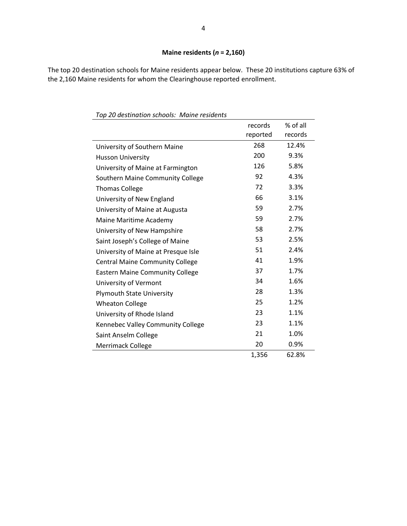## **Maine residents (***n* **= 2,160)**

The top 20 destination schools for Maine residents appear below. These 20 institutions capture 63% of the 2,160 Maine residents for whom the Clearinghouse reported enrollment.

|                                        | records  | % of all |
|----------------------------------------|----------|----------|
|                                        | reported | records  |
| University of Southern Maine           | 268      | 12.4%    |
| <b>Husson University</b>               | 200      | 9.3%     |
| University of Maine at Farmington      | 126      | 5.8%     |
| Southern Maine Community College       | 92       | 4.3%     |
| <b>Thomas College</b>                  | 72       | 3.3%     |
| University of New England              | 66       | 3.1%     |
| University of Maine at Augusta         | 59       | 2.7%     |
| Maine Maritime Academy                 | 59       | 2.7%     |
| University of New Hampshire            | 58       | 2.7%     |
| Saint Joseph's College of Maine        | 53       | 2.5%     |
| University of Maine at Presque Isle    | 51       | 2.4%     |
| <b>Central Maine Community College</b> | 41       | 1.9%     |
| <b>Eastern Maine Community College</b> | 37       | 1.7%     |
| University of Vermont                  | 34       | 1.6%     |
| <b>Plymouth State University</b>       | 28       | 1.3%     |
| <b>Wheaton College</b>                 | 25       | 1.2%     |
| University of Rhode Island             | 23       | 1.1%     |
| Kennebec Valley Community College      | 23       | 1.1%     |
| Saint Anselm College                   | 21       | 1.0%     |
| Merrimack College                      | 20       | 0.9%     |
|                                        | 1,356    | 62.8%    |

*Top 20 destination schools: Maine residents*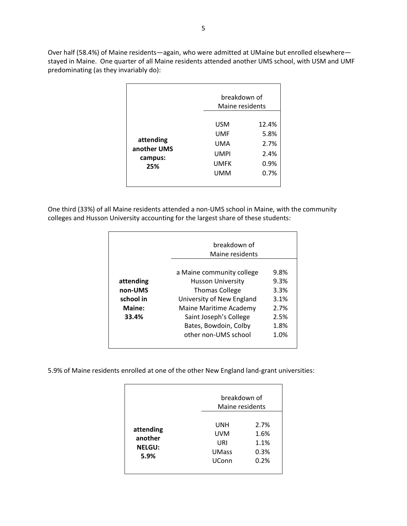Over half (58.4%) of Maine residents—again, who were admitted at UMaine but enrolled elsewhere stayed in Maine. One quarter of all Maine residents attended another UMS school, with USM and UMF predominating (as they invariably do):

|                                            |                                                        | breakdown of<br>Maine residents               |  |
|--------------------------------------------|--------------------------------------------------------|-----------------------------------------------|--|
| attending<br>another UMS<br>campus:<br>25% | USM<br>UMF<br>UMA<br><b>UMPI</b><br><b>UMFK</b><br>UMM | 12.4%<br>5.8%<br>2.7%<br>2.4%<br>0.9%<br>0.7% |  |

One third (33%) of all Maine residents attended a non-UMS school in Maine, with the community colleges and Husson University accounting for the largest share of these students:

|           | breakdown of<br>Maine residents |      |
|-----------|---------------------------------|------|
|           | a Maine community college       | 9.8% |
| attending | <b>Husson University</b>        | 9.3% |
| non-UMS   | <b>Thomas College</b>           | 3.3% |
| school in | University of New England       | 3.1% |
| Maine:    | Maine Maritime Academy          | 2.7% |
| 33.4%     | Saint Joseph's College          | 2.5% |
|           | Bates, Bowdoin, Colby           | 1.8% |
|           | other non-UMS school            | 1.0% |

5.9% of Maine residents enrolled at one of the other New England land-grant universities:

|                                               |                                                          | breakdown of<br>Maine residents      |  |
|-----------------------------------------------|----------------------------------------------------------|--------------------------------------|--|
| attending<br>another<br><b>NELGU:</b><br>5.9% | UNH<br><b>UVM</b><br>URI<br><b>UMass</b><br><b>UConn</b> | 2.7%<br>1.6%<br>1.1%<br>0.3%<br>0.2% |  |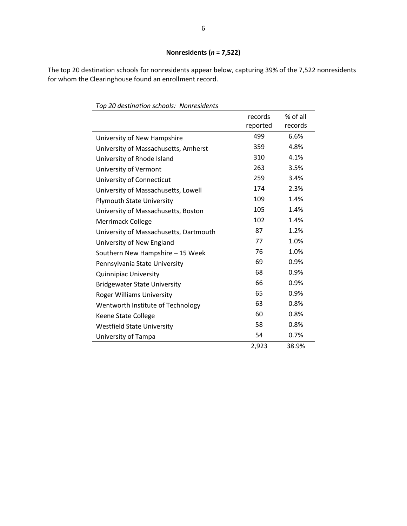The top 20 destination schools for nonresidents appear below, capturing 39% of the 7,522 nonresidents for whom the Clearinghouse found an enrollment record.

| rop zo acstmation schools. Trom csiaents |                     |                     |
|------------------------------------------|---------------------|---------------------|
|                                          | records<br>reported | % of all<br>records |
| University of New Hampshire              | 499                 | 6.6%                |
| University of Massachusetts, Amherst     | 359                 | 4.8%                |
| University of Rhode Island               | 310                 | 4.1%                |
| University of Vermont                    | 263                 | 3.5%                |
| University of Connecticut                | 259                 | 3.4%                |
| University of Massachusetts, Lowell      | 174                 | 2.3%                |
| <b>Plymouth State University</b>         | 109                 | 1.4%                |
| University of Massachusetts, Boston      | 105                 | 1.4%                |
| <b>Merrimack College</b>                 | 102                 | 1.4%                |
| University of Massachusetts, Dartmouth   | 87                  | 1.2%                |
| University of New England                | 77                  | 1.0%                |
| Southern New Hampshire - 15 Week         | 76                  | 1.0%                |
| Pennsylvania State University            | 69                  | 0.9%                |
| <b>Quinnipiac University</b>             | 68                  | 0.9%                |
| <b>Bridgewater State University</b>      | 66                  | 0.9%                |
| <b>Roger Williams University</b>         | 65                  | 0.9%                |
| Wentworth Institute of Technology        | 63                  | 0.8%                |
| Keene State College                      | 60                  | 0.8%                |
| <b>Westfield State University</b>        | 58                  | 0.8%                |
| University of Tampa                      | 54                  | 0.7%                |
|                                          | 2,923               | 38.9%               |

*Top 20 destination schools: Nonresidents*